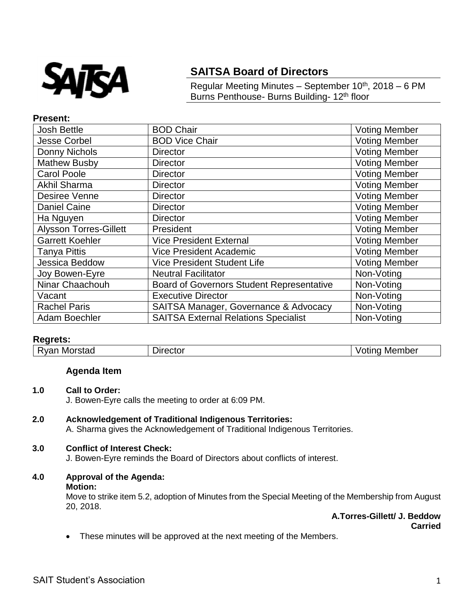

# **SAITSA Board of Directors**

Regular Meeting Minutes - September 10<sup>th</sup>, 2018 - 6 PM Burns Penthouse- Burns Building- 12<sup>th</sup> floor

#### **Present:**

| <b>Josh Bettle</b>            | <b>BOD Chair</b>                                 | <b>Voting Member</b> |
|-------------------------------|--------------------------------------------------|----------------------|
| <b>Jesse Corbel</b>           | <b>BOD Vice Chair</b>                            | <b>Voting Member</b> |
| Donny Nichols                 | <b>Director</b>                                  | <b>Voting Member</b> |
| <b>Mathew Busby</b>           | <b>Director</b>                                  | <b>Voting Member</b> |
| <b>Carol Poole</b>            | <b>Director</b>                                  | <b>Voting Member</b> |
| <b>Akhil Sharma</b>           | <b>Director</b>                                  | <b>Voting Member</b> |
| Desiree Venne                 | <b>Director</b>                                  | <b>Voting Member</b> |
| <b>Daniel Caine</b>           | <b>Director</b>                                  | <b>Voting Member</b> |
| Ha Nguyen                     | <b>Director</b>                                  | <b>Voting Member</b> |
| <b>Alysson Torres-Gillett</b> | President                                        | <b>Voting Member</b> |
| <b>Garrett Koehler</b>        | <b>Vice President External</b>                   | <b>Voting Member</b> |
| <b>Tanya Pittis</b>           | <b>Vice President Academic</b>                   | <b>Voting Member</b> |
| Jessica Beddow                | <b>Vice President Student Life</b>               | <b>Voting Member</b> |
| Joy Bowen-Eyre                | <b>Neutral Facilitator</b>                       | Non-Voting           |
| Ninar Chaachouh               | <b>Board of Governors Student Representative</b> | Non-Voting           |
| Vacant                        | <b>Executive Director</b>                        | Non-Voting           |
| <b>Rachel Paris</b>           | SAITSA Manager, Governance & Advocacy            | Non-Voting           |
| Adam Boechler                 | <b>SAITSA External Relations Specialist</b>      | Non-Voting           |

## **Regrets:**

Ryan Morstad | Director | Voting Member

## **Agenda Item**

#### **1.0 Call to Order:**

J. Bowen-Eyre calls the meeting to order at 6:09 PM.

#### **2.0 Acknowledgement of Traditional Indigenous Territories:**

A. Sharma gives the Acknowledgement of Traditional Indigenous Territories.

#### **3.0 Conflict of Interest Check:**

J. Bowen-Eyre reminds the Board of Directors about conflicts of interest.

## **4.0 Approval of the Agenda:**

#### **Motion:**

Move to strike item 5.2, adoption of Minutes from the Special Meeting of the Membership from August 20, 2018.

> **A.Torres-Gillett/ J. Beddow Carried**

• These minutes will be approved at the next meeting of the Members.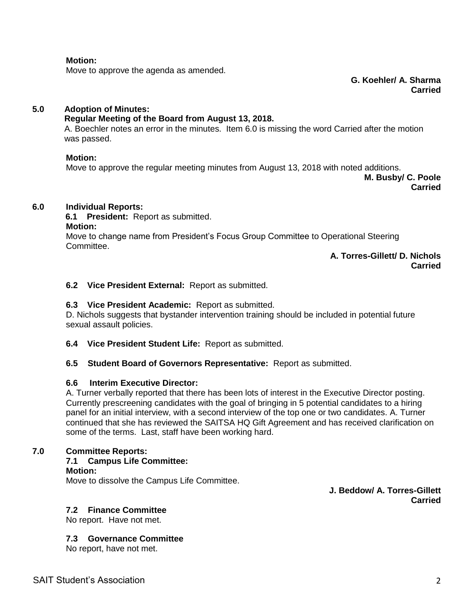#### **Motion:**

Move to approve the agenda as amended.

**G. Koehler/ A. Sharma Carried**

#### **5.0 Adoption of Minutes:**

#### **Regular Meeting of the Board from August 13, 2018.**

A. Boechler notes an error in the minutes. Item 6.0 is missing the word Carried after the motion was passed.

#### **Motion:**

Move to approve the regular meeting minutes from August 13, 2018 with noted additions.

**M. Busby/ C. Poole Carried**

## **6.0 Individual Reports:**

 **6.1 President:** Report as submitted. **Motion:** Move to change name from President's Focus Group Committee to Operational Steering Committee.

## **A. Torres-Gillett/ D. Nichols Carried**

## **6.2 Vice President External:** Report as submitted.

## **6.3 Vice President Academic:** Report as submitted.

D. Nichols suggests that bystander intervention training should be included in potential future sexual assault policies.

## **6.4 Vice President Student Life:** Report as submitted.

## **6.5 Student Board of Governors Representative:** Report as submitted.

## **6.6 Interim Executive Director:**

A. Turner verbally reported that there has been lots of interest in the Executive Director posting. Currently prescreening candidates with the goal of bringing in 5 potential candidates to a hiring panel for an initial interview, with a second interview of the top one or two candidates. A. Turner continued that she has reviewed the SAITSA HQ Gift Agreement and has received clarification on some of the terms. Last, staff have been working hard.

## **7.0 Committee Reports:**

## **7.1 Campus Life Committee:**

**Motion:**

Move to dissolve the Campus Life Committee.

**J. Beddow/ A. Torres-Gillett Carried**

## **7.2 Finance Committee**

No report. Have not met.

## **7.3 Governance Committee**

No report, have not met.